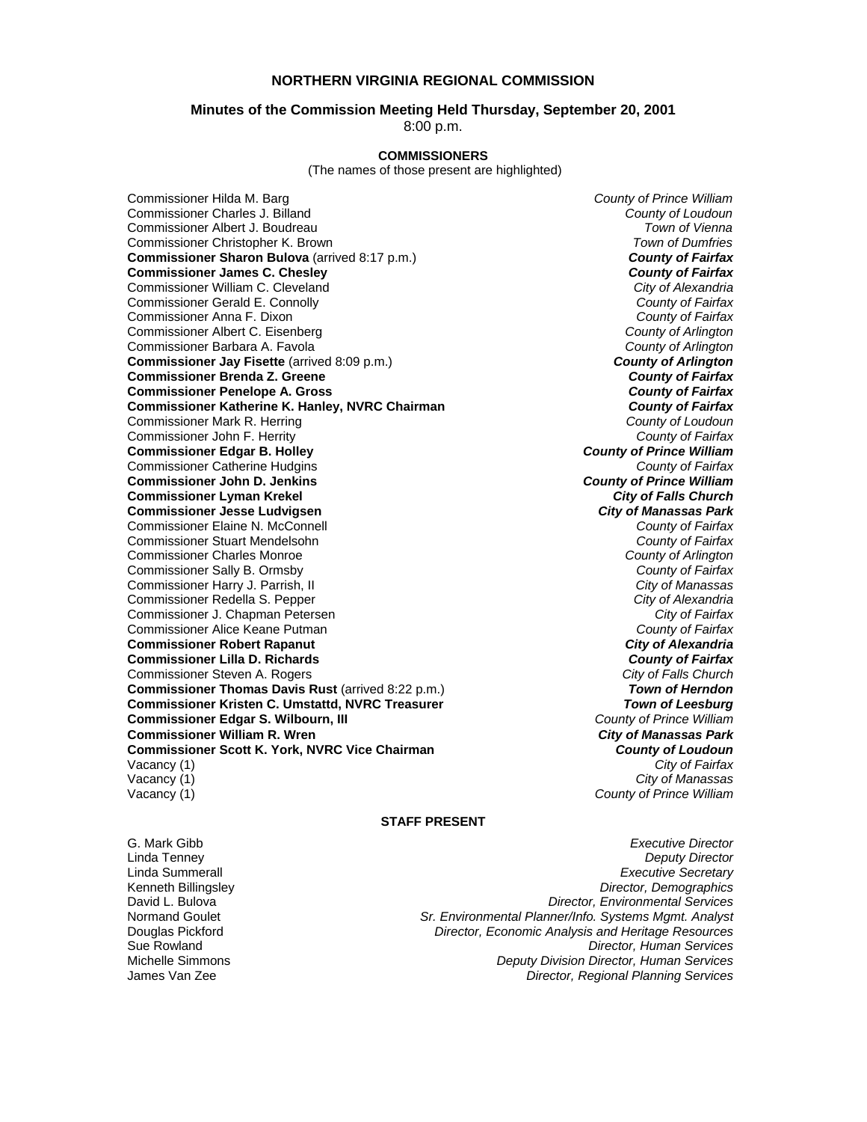## **NORTHERN VIRGINIA REGIONAL COMMISSION**

#### **Minutes of the Commission Meeting Held Thursday, September 20, 2001**

8:00 p.m.

#### **COMMISSIONERS**

(The names of those present are highlighted)

Commissioner Hilda M. Barg *County of Prince William* Commissioner Charles J. Billand *County of Loudoun* **Commissioner Albert J. Boudreau** Commissioner Christopher K. Brown *Town of Dumfries*  **Commissioner Sharon Bulova** (arrived 8:17 p.m.)*County of Fairfax* **Commissioner James C. Chesley** *County of Fairfax* Commissioner William C. Cleveland *City of Alexandria* **Commissioner Gerald E. Connolly** Commissioner Anna F. Dixon *County of Fairfax* Commissioner Albert C. Eisenberg *County of Arlington* Commissioner Barbara A. Favola *County of Arlington* **Commissioner Jay Fisette** (arrived 8:09 p.m.) *County of Arlington* **Commissioner Brenda Z. Greene** *County of Fairfax* **Commissioner Penelope A. Gross** *County of Fairfax* **Commissioner Katherine K. Hanley, NVRC Chairman** *County of Fairfax* **Commissioner Mark R. Herring <b>***County of Loudoun* Commissioner Mark R. Herring *County of Loudoun* Commissioner John F. Herrity *County of Fairfax* **Commissioner Edgar B. Holley** *County of Prince William* Commissioner Catherine Hudgins *County of Fairfax* **Commissioner John D. Jenkins** *County of Prince William* **Commissioner Lyman Krekel Commissioner Jesse Ludvigsen** *City of Manassas Park* Commissioner Elaine N. McConnell *County of Fairfax* Commissioner Stuart Mendelsohn *County of Fairfax* Commissioner Charles Monroe *County of Arlington* Commissioner Sally B. Ormsby *County of Fairfax* Commissioner Harry J. Parrish, II *City of Manassas* Commissioner Redella S. Pepper *City of Alexandria* Commissioner J. Chapman Petersen *City of Fairfax* Commissioner Alice Keane Putman *County of Fairfax* **Commissioner Robert Rapanut** *City of Alexandria* **Commissioner Lilla D. Richards** *County of Fairfax* Commissioner Steven A. Rogers *City of Falls Church* **Commissioner Thomas Davis Rust** (arrived 8:22 p.m.) *Town of Herndon* **Commissioner Kristen C. Umstattd, NVRC Treasurer** *Town of Leesburg* **Commissioner Edgar S. Wilbourn, III** *County of Prince William* **Commissioner William R. Wren** *City of Manassas Park* **Commissioner Scott K. York, NVRC Vice Chairman** *County of Loudoun* Vacancy (1) *City of Fairfax* Vacancy (1) *City of Manassas*

**County of Prince William** 

#### **STAFF PRESENT**

G. Mark Gibb *Executive Director* **Deputy Director** Linda Summerall *Executive Secretary* **Director, Demographics** David L. Bulova *Director, Environmental Services* Normand Goulet *Sr. Environmental Planner/Info. Systems Mgmt. Analyst* Douglas Pickford *Director, Economic Analysis and Heritage Resources* Sue Rowland *Director, Human Services* Michelle Simmons *Deputy Division Director, Human Services* James Van Zee *Director, Regional Planning Services*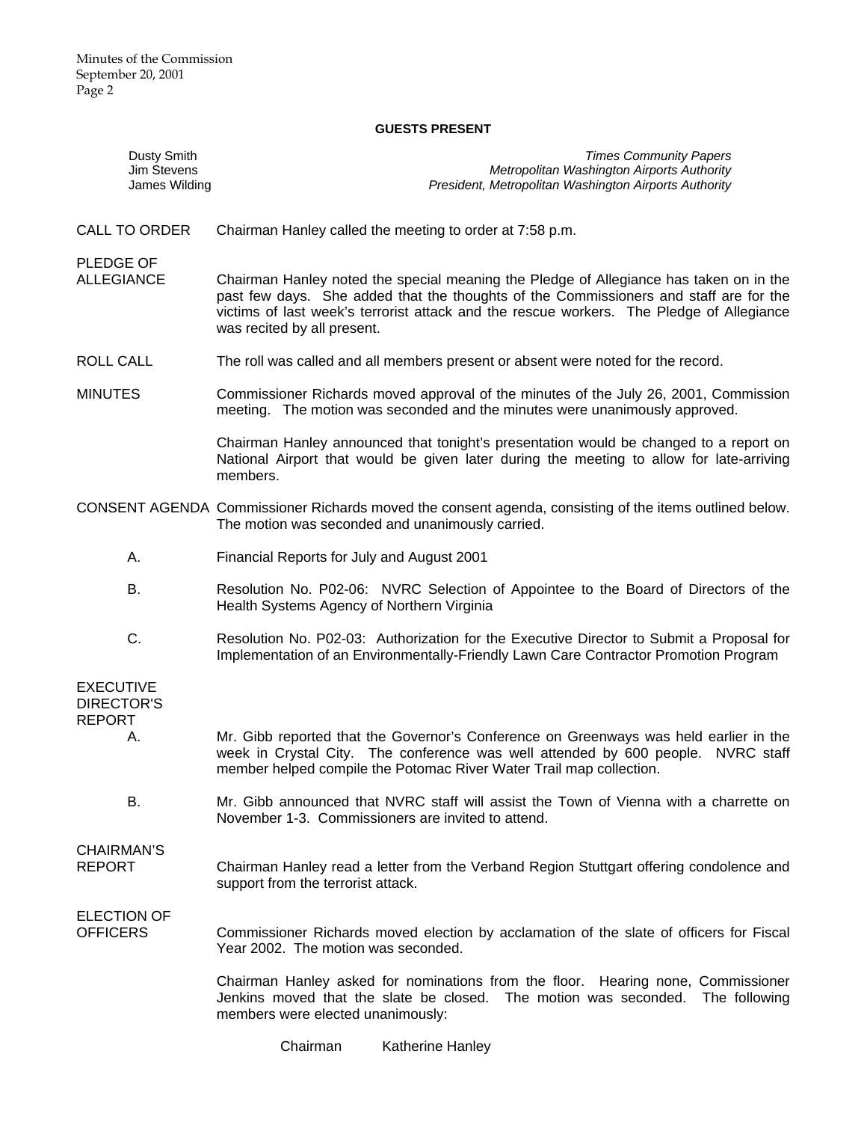## **GUESTS PRESENT**

| Dusty Smith<br>Jim Stevens<br>James Wilding                  | <b>Times Community Papers</b><br>Metropolitan Washington Airports Authority<br>President, Metropolitan Washington Airports Authority                                                                                                                                                                       |
|--------------------------------------------------------------|------------------------------------------------------------------------------------------------------------------------------------------------------------------------------------------------------------------------------------------------------------------------------------------------------------|
| <b>CALL TO ORDER</b>                                         | Chairman Hanley called the meeting to order at 7:58 p.m.                                                                                                                                                                                                                                                   |
| PLEDGE OF<br><b>ALLEGIANCE</b>                               | Chairman Hanley noted the special meaning the Pledge of Allegiance has taken on in the<br>past few days. She added that the thoughts of the Commissioners and staff are for the<br>victims of last week's terrorist attack and the rescue workers. The Pledge of Allegiance<br>was recited by all present. |
| ROLL CALL                                                    | The roll was called and all members present or absent were noted for the record.                                                                                                                                                                                                                           |
| <b>MINUTES</b>                                               | Commissioner Richards moved approval of the minutes of the July 26, 2001, Commission<br>meeting. The motion was seconded and the minutes were unanimously approved.                                                                                                                                        |
|                                                              | Chairman Hanley announced that tonight's presentation would be changed to a report on<br>National Airport that would be given later during the meeting to allow for late-arriving<br>members.                                                                                                              |
|                                                              | CONSENT AGENDA Commissioner Richards moved the consent agenda, consisting of the items outlined below.<br>The motion was seconded and unanimously carried.                                                                                                                                                 |
| Α.                                                           | Financial Reports for July and August 2001                                                                                                                                                                                                                                                                 |
| В.                                                           | Resolution No. P02-06: NVRC Selection of Appointee to the Board of Directors of the<br>Health Systems Agency of Northern Virginia                                                                                                                                                                          |
| C.                                                           | Resolution No. P02-03: Authorization for the Executive Director to Submit a Proposal for<br>Implementation of an Environmentally-Friendly Lawn Care Contractor Promotion Program                                                                                                                           |
| <b>EXECUTIVE</b><br><b>DIRECTOR'S</b><br><b>REPORT</b><br>Α. | Mr. Gibb reported that the Governor's Conference on Greenways was held earlier in the<br>week in Crystal City. The conference was well attended by 600 people. NVRC staff<br>member helped compile the Potomac River Water Trail map collection.                                                           |
| В.                                                           | Mr. Gibb announced that NVRC staff will assist the Town of Vienna with a charrette on<br>November 1-3. Commissioners are invited to attend.                                                                                                                                                                |
| CHAIRMAN'S<br><b>REPORT</b>                                  | Chairman Hanley read a letter from the Verband Region Stuttgart offering condolence and<br>support from the terrorist attack.                                                                                                                                                                              |
| <b>ELECTION OF</b><br><b>OFFICERS</b>                        | Commissioner Richards moved election by acclamation of the slate of officers for Fiscal<br>Year 2002. The motion was seconded.                                                                                                                                                                             |
|                                                              | Chairman Hanley asked for nominations from the floor. Hearing none, Commissioner<br>Jenkins moved that the slate be closed. The motion was seconded. The following<br>members were elected unanimously:                                                                                                    |

Chairman Katherine Hanley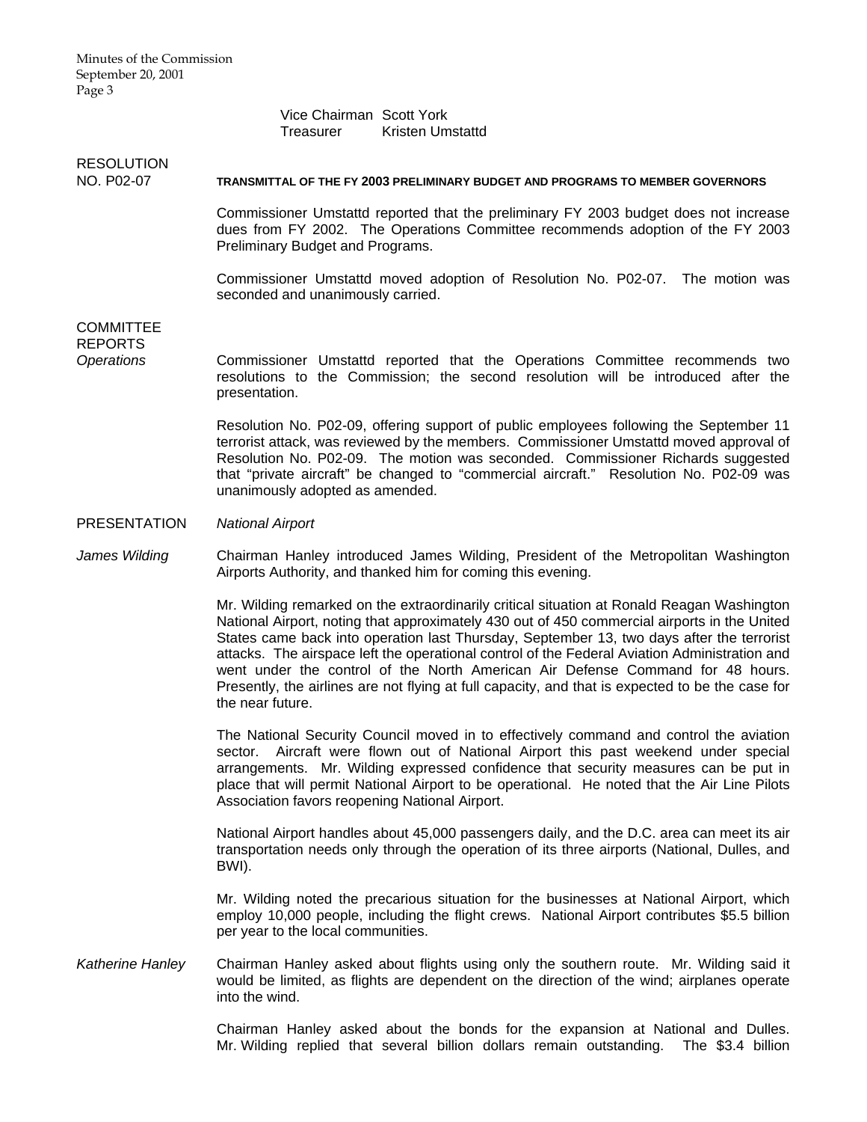Vice Chairman Scott York Treasurer Kristen Umstattd

# **RESOLUTION**

#### NO. P02-07 **TRANSMITTAL OF THE FY 2003 PRELIMINARY BUDGET AND PROGRAMS TO MEMBER GOVERNORS**

Commissioner Umstattd reported that the preliminary FY 2003 budget does not increase dues from FY 2002. The Operations Committee recommends adoption of the FY 2003 Preliminary Budget and Programs.

 Commissioner Umstattd moved adoption of Resolution No. P02-07. The motion was seconded and unanimously carried.

## **COMMITTEE** REPORTS

*Operations* Commissioner Umstattd reported that the Operations Committee recommends two resolutions to the Commission; the second resolution will be introduced after the presentation.

> Resolution No. P02-09, offering support of public employees following the September 11 terrorist attack, was reviewed by the members. Commissioner Umstattd moved approval of Resolution No. P02-09. The motion was seconded. Commissioner Richards suggested that "private aircraft" be changed to "commercial aircraft." Resolution No. P02-09 was unanimously adopted as amended.

## PRESENTATION *National Airport*

*James Wilding* Chairman Hanley introduced James Wilding, President of the Metropolitan Washington Airports Authority, and thanked him for coming this evening.

> Mr. Wilding remarked on the extraordinarily critical situation at Ronald Reagan Washington National Airport, noting that approximately 430 out of 450 commercial airports in the United States came back into operation last Thursday, September 13, two days after the terrorist attacks. The airspace left the operational control of the Federal Aviation Administration and went under the control of the North American Air Defense Command for 48 hours. Presently, the airlines are not flying at full capacity, and that is expected to be the case for the near future.

> The National Security Council moved in to effectively command and control the aviation sector. Aircraft were flown out of National Airport this past weekend under special arrangements. Mr. Wilding expressed confidence that security measures can be put in place that will permit National Airport to be operational. He noted that the Air Line Pilots Association favors reopening National Airport.

> National Airport handles about 45,000 passengers daily, and the D.C. area can meet its air transportation needs only through the operation of its three airports (National, Dulles, and BWI).

> Mr. Wilding noted the precarious situation for the businesses at National Airport, which employ 10,000 people, including the flight crews. National Airport contributes \$5.5 billion per year to the local communities.

*Katherine Hanley* Chairman Hanley asked about flights using only the southern route. Mr. Wilding said it would be limited, as flights are dependent on the direction of the wind; airplanes operate into the wind.

> Chairman Hanley asked about the bonds for the expansion at National and Dulles. Mr. Wilding replied that several billion dollars remain outstanding. The \$3.4 billion